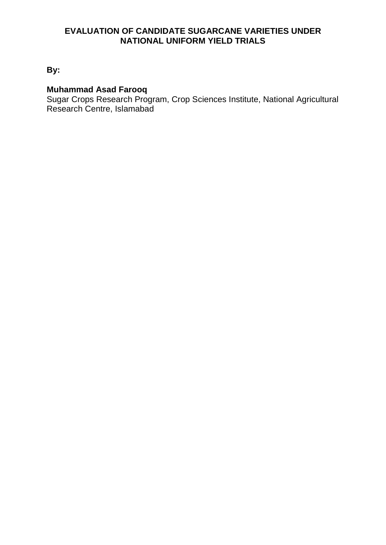### **EVALUATION OF CANDIDATE SUGARCANE VARIETIES UNDER NATIONAL UNIFORM YIELD TRIALS**

**By:**

#### **Muhammad Asad Farooq**

Sugar Crops Research Program, Crop Sciences Institute, National Agricultural Research Centre, Islamabad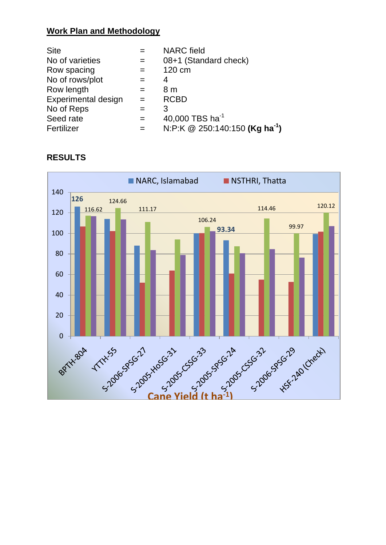# **Work Plan and Methodology**

| <b>Site</b>                |     | <b>NARC</b> field                          |
|----------------------------|-----|--------------------------------------------|
| No of varieties            |     | 08+1 (Standard check)                      |
| Row spacing                |     | 120 cm                                     |
| No of rows/plot            | $=$ | 4                                          |
| Row length                 | $=$ | 8 m                                        |
| <b>Experimental design</b> |     | <b>RCBD</b>                                |
| No of Reps                 |     | 3                                          |
| Seed rate                  | $=$ | 40,000 TBS $ha^{-1}$                       |
| Fertilizer                 |     | N:P:K @ 250:140:150 (Kg ha <sup>-1</sup> ) |



# **RESULTS**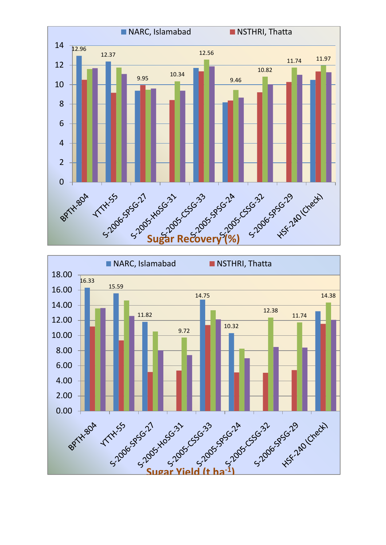